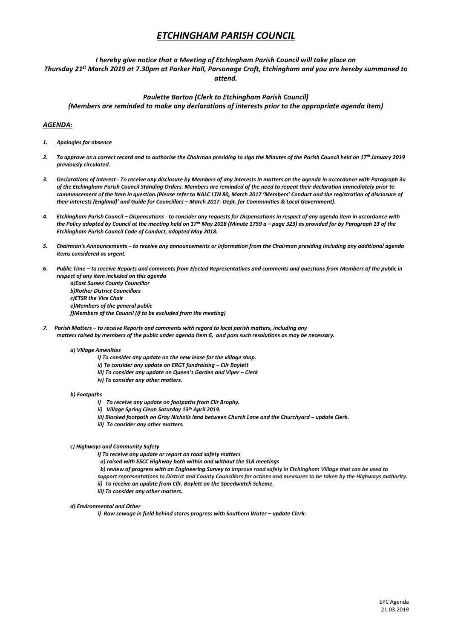# *ETCHINGHAM PARISH COUNCIL*

# *I hereby give notice that a Meeting of Etchingham Parish Council will take place on Thursday 21st March 2019 at 7.30pm at Parker Hall, Parsonage Croft, Etchingham and you are hereby summoned to attend.*

# *Paulette Barton (Clerk to Etchingham Parish Council) (Members are reminded to make any declarations of interests prior to the appropriate agenda item)*

## *AGENDA:*

- *1. Apologies for absence*
- *2. To approve as a correct record and to authorise the Chairman presiding to sign the Minutes of the Parish Council held on 17 th January 2019 previously circulated.*
- *3. Declarations of Interest - To receive any disclosure by Members of any interests in matters on the agenda in accordance with Paragraph 3u of the Etchingham Parish Council Standing Orders. Members are reminded of the need to repeat their declaration immediately prior to*  commencement of the item in question.(Please refer to NALC LTN 80, March 2017 'Members' Conduct and the registration of disclosure of *their interests (England)' and Guide for Councillors – March 2017- Dept. for Communities & Local Government).*
- *4. Etchingham Parish Council – Dispensations - to consider any requests for Dispensations in respect of any agenda item in accordance with the Policy adopted by Council at the meeting held on 17 th May 2018 (Minute 1759 a – page 323) as provided for by Paragraph 13 of the Etchingham Parish Council Code of Conduct, adopted May 2018.*
- *5. Chairman's Announcements – to receive any announcements or information from the Chairman presiding including any additional agenda items considered as urgent.*
- *6. Public Time – to receive Reports and comments from Elected Representatives and comments and questions from Members of the public in respect of any item included on this agenda* 
	- *a)East Sussex County Councillor b)Rother District Councillors c)ETSR the Vice Chair e)Members of the general public f)Members of the Council (if to be excluded from the meeting)*
- *7. Parish Matters – to receive Reports and comments with regard to local parish matters, including any matters raised by members of the public under agenda item 6, and pass such resolutions as may be necessary.*

## *a) Village Amenities*

- *i) To consider any update on the new lease for the village shop.*
- *ii) To consider any update on ERGT fundraising – Cllr Boylett*
- *iii) To consider any update on Queen's Garden and Viper – Clerk*
- *iv) To consider any other matters.*

#### *b) Footpaths*

- *i) To receive any update on footpaths from Cllr Brophy.*
- *ii) Village Spring Clean Saturday 13th April 2019.*
- *iii) Blocked footpath on Gray Nicholls land between Church Lane and the Churchyard – update Clerk.*
- *iii) To consider any other matters.*

## *c) Highways and Community Safety*

*i) To receive any update or report on road safety matters* 

- *a) raised with ESCC Highway both within and without the SLR meetings*
- *b) review of progress with an Engineering Survey to improve road safety in Etchingham Village that can be used to*
- *support representations to District and County Councillors for actions and measures to be taken by the Highways authority.*
- *ii) To receive an update from Cllr. Boylett on the Speedwatch Scheme.*
- *iii) To consider any other matters.*

*d) Environmental and Other* 

*i) Raw sewage in field behind stores progress with Southern Water - update Clerk.*